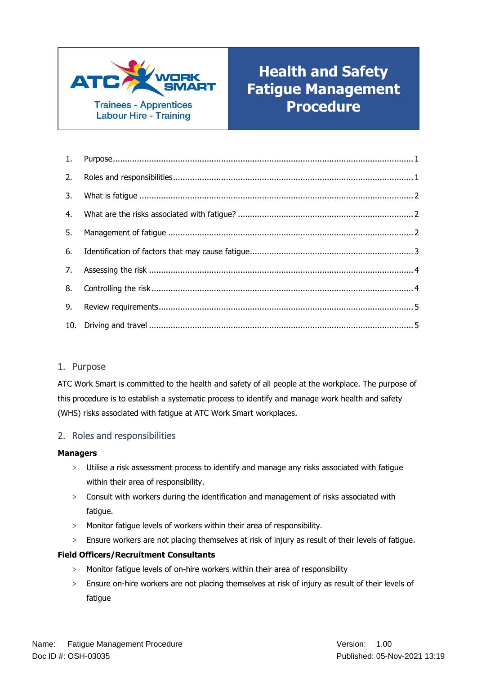

# **Health and Safety Fatigue Management Procedure**

# <span id="page-0-0"></span>1. Purpose

ATC Work Smart is committed to the health and safety of all people at the workplace. The purpose of this procedure is to establish a systematic process to identify and manage work health and safety (WHS) risks associated with fatigue at ATC Work Smart workplaces.

# <span id="page-0-1"></span>2. Roles and responsibilities

### **Managers**

- > Utilise a risk assessment process to identify and manage any risks associated with fatigue within their area of responsibility.
- > Consult with workers during the identification and management of risks associated with fatigue.
- > Monitor fatigue levels of workers within their area of responsibility.
- > Ensure workers are not placing themselves at risk of injury as result of their levels of fatigue.

### **Field Officers/Recruitment Consultants**

- > Monitor fatigue levels of on-hire workers within their area of responsibility
- > Ensure on-hire workers are not placing themselves at risk of injury as result of their levels of fatigue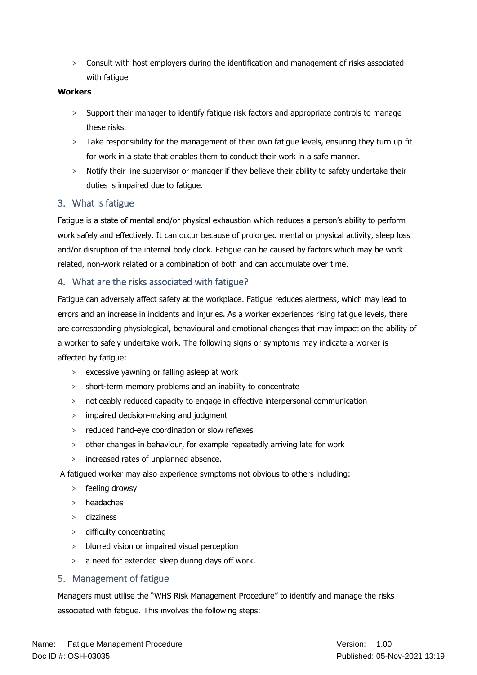> Consult with host employers during the identification and management of risks associated with fatigue

### **Workers**

- > Support their manager to identify fatigue risk factors and appropriate controls to manage these risks.
- > Take responsibility for the management of their own fatigue levels, ensuring they turn up fit for work in a state that enables them to conduct their work in a safe manner.
- > Notify their line supervisor or manager if they believe their ability to safety undertake their duties is impaired due to fatigue.

# <span id="page-1-0"></span>3. What is fatigue

Fatigue is a state of mental and/or physical exhaustion which reduces a person's ability to perform work safely and effectively. It can occur because of prolonged mental or physical activity, sleep loss and/or disruption of the internal body clock. Fatigue can be caused by factors which may be work related, non-work related or a combination of both and can accumulate over time.

# <span id="page-1-1"></span>4. What are the risks associated with fatigue?

Fatigue can adversely affect safety at the workplace. Fatigue reduces alertness, which may lead to errors and an increase in incidents and injuries. As a worker experiences rising fatigue levels, there are corresponding physiological, behavioural and emotional changes that may impact on the ability of a worker to safely undertake work. The following signs or symptoms may indicate a worker is affected by fatigue:

- > excessive yawning or falling asleep at work
- > short-term memory problems and an inability to concentrate
- > noticeably reduced capacity to engage in effective interpersonal communication
- > impaired decision-making and judgment
- > reduced hand-eye coordination or slow reflexes
- > other changes in behaviour, for example repeatedly arriving late for work
- > increased rates of unplanned absence.
- A fatigued worker may also experience symptoms not obvious to others including:
	- > feeling drowsy
	- > headaches
	- > dizziness
	- > difficulty concentrating
	- > blurred vision or impaired visual perception
	- > a need for extended sleep during days off work.

# <span id="page-1-2"></span>5. Management of fatigue

Managers must utilise the "WHS Risk Management Procedure" to identify and manage the risks associated with fatigue. This involves the following steps: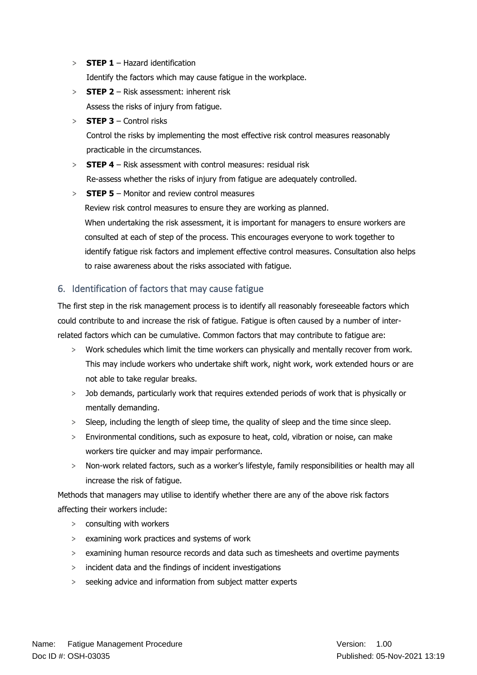- > **STEP 1** Hazard identification Identify the factors which may cause fatigue in the workplace.
- > **STEP 2** Risk assessment: inherent risk Assess the risks of injury from fatigue.
- > **STEP 3** Control risks

Control the risks by implementing the most effective risk control measures reasonably practicable in the circumstances.

> **STEP 4** – Risk assessment with control measures: residual risk Re-assess whether the risks of injury from fatigue are adequately controlled.

> **STEP 5** – Monitor and review control measures Review risk control measures to ensure they are working as planned. When undertaking the risk assessment, it is important for managers to ensure workers are consulted at each of step of the process. This encourages everyone to work together to identify fatigue risk factors and implement effective control measures. Consultation also helps to raise awareness about the risks associated with fatigue.

# <span id="page-2-0"></span>6. Identification of factors that may cause fatigue

The first step in the risk management process is to identify all reasonably foreseeable factors which could contribute to and increase the risk of fatigue. Fatigue is often caused by a number of interrelated factors which can be cumulative. Common factors that may contribute to fatigue are:

- > Work schedules which limit the time workers can physically and mentally recover from work. This may include workers who undertake shift work, night work, work extended hours or are not able to take regular breaks.
- > Job demands, particularly work that requires extended periods of work that is physically or mentally demanding.
- > Sleep, including the length of sleep time, the quality of sleep and the time since sleep.
- > Environmental conditions, such as exposure to heat, cold, vibration or noise, can make workers tire quicker and may impair performance.
- > Non-work related factors, such as a worker's lifestyle, family responsibilities or health may all increase the risk of fatigue.

Methods that managers may utilise to identify whether there are any of the above risk factors affecting their workers include:

- > consulting with workers
- > examining work practices and systems of work
- > examining human resource records and data such as timesheets and overtime payments
- > incident data and the findings of incident investigations
- > seeking advice and information from subject matter experts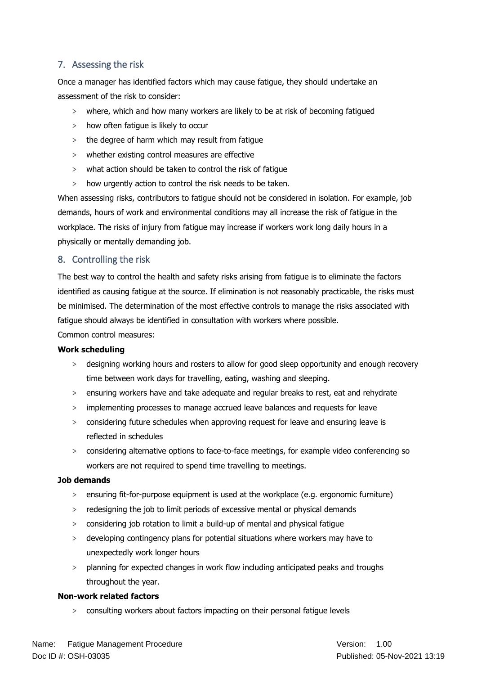# <span id="page-3-0"></span>7. Assessing the risk

Once a manager has identified factors which may cause fatigue, they should undertake an assessment of the risk to consider:

- > where, which and how many workers are likely to be at risk of becoming fatigued
- > how often fatigue is likely to occur
- > the degree of harm which may result from fatigue
- > whether existing control measures are effective
- > what action should be taken to control the risk of fatigue
- > how urgently action to control the risk needs to be taken.

When assessing risks, contributors to fatigue should not be considered in isolation. For example, job demands, hours of work and environmental conditions may all increase the risk of fatigue in the workplace. The risks of injury from fatigue may increase if workers work long daily hours in a physically or mentally demanding job.

# <span id="page-3-1"></span>8. Controlling the risk

The best way to control the health and safety risks arising from fatigue is to eliminate the factors identified as causing fatigue at the source. If elimination is not reasonably practicable, the risks must be minimised. The determination of the most effective controls to manage the risks associated with fatigue should always be identified in consultation with workers where possible.

Common control measures:

### **Work scheduling**

- > designing working hours and rosters to allow for good sleep opportunity and enough recovery time between work days for travelling, eating, washing and sleeping.
- > ensuring workers have and take adequate and regular breaks to rest, eat and rehydrate
- > implementing processes to manage accrued leave balances and requests for leave
- > considering future schedules when approving request for leave and ensuring leave is reflected in schedules
- > considering alternative options to face-to-face meetings, for example video conferencing so workers are not required to spend time travelling to meetings.

### **Job demands**

- > ensuring fit-for-purpose equipment is used at the workplace (e.g. ergonomic furniture)
- > redesigning the job to limit periods of excessive mental or physical demands
- > considering job rotation to limit a build-up of mental and physical fatigue
- > developing contingency plans for potential situations where workers may have to unexpectedly work longer hours
- > planning for expected changes in work flow including anticipated peaks and troughs throughout the year.

### **Non-work related factors**

> consulting workers about factors impacting on their personal fatigue levels